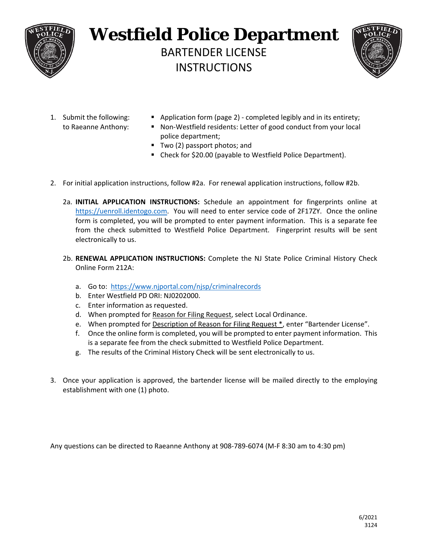

## **Westfield Police Department**  BARTENDER LICENSE INSTRUCTIONS



- 
- 1. Submit the following: Application form (page 2) ‐ completed legibly and in its entirety;
	- to Raeanne Anthony: Non-Westfield residents: Letter of good conduct from your local police department;
		- Two (2) passport photos; and
		- Check for \$20.00 (payable to Westfield Police Department).
- 2. For initial application instructions, follow #2a. For renewal application instructions, follow #2b.
	- 2a. **INITIAL APPLICATION INSTRUCTIONS:** Schedule an appointment for fingerprints online at https://uenroll.identogo.com. You will need to enter service code of 2F17ZY. Once the online form is completed, you will be prompted to enter payment information. This is a separate fee from the check submitted to Westfield Police Department. Fingerprint results will be sent electronically to us.
	- 2b. **RENEWAL APPLICATION INSTRUCTIONS:** Complete the NJ State Police Criminal History Check Online Form 212A:
		- a. Go to: https://www.njportal.com/njsp/criminalrecords
		- b. Enter Westfield PD ORI: NJ0202000.
		- c. Enter information as requested.
		- d. When prompted for Reason for Filing Request, select Local Ordinance.
		- e. When prompted for Description of Reason for Filing Request \*, enter "Bartender License".
		- f. Once the online form is completed, you will be prompted to enter payment information. This is a separate fee from the check submitted to Westfield Police Department.
		- g. The results of the Criminal History Check will be sent electronically to us.
- 3. Once your application is approved, the bartender license will be mailed directly to the employing establishment with one (1) photo.

Any questions can be directed to Raeanne Anthony at 908‐789‐6074 (M‐F 8:30 am to 4:30 pm)